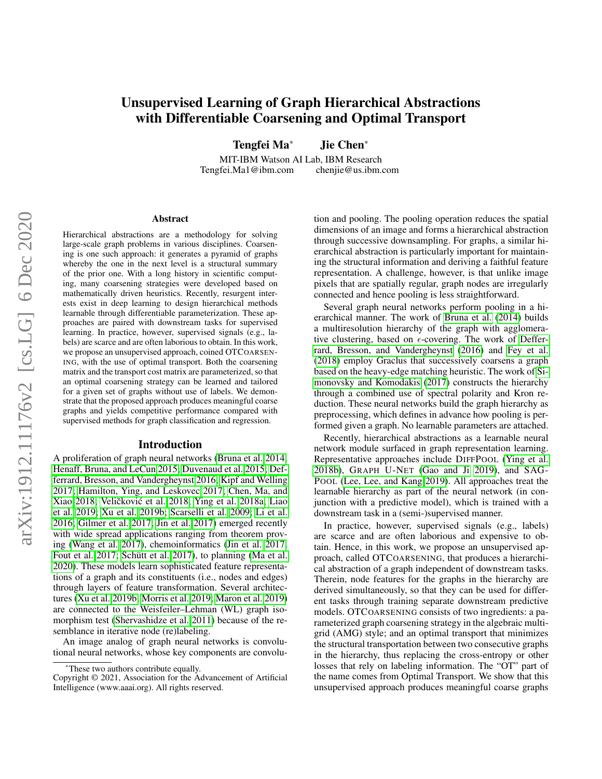# Unsupervised Learning of Graph Hierarchical Abstractions with Differentiable Coarsening and Optimal Transport

Tengfei Ma\* Jie Chen\*

MIT-IBM Watson AI Lab, IBM Research Tengfei.Ma1@ibm.com chenjie@us.ibm.com

#### Abstract

Hierarchical abstractions are a methodology for solving large-scale graph problems in various disciplines. Coarsening is one such approach: it generates a pyramid of graphs whereby the one in the next level is a structural summary of the prior one. With a long history in scientific computing, many coarsening strategies were developed based on mathematically driven heuristics. Recently, resurgent interests exist in deep learning to design hierarchical methods learnable through differentiable parameterization. These approaches are paired with downstream tasks for supervised learning. In practice, however, supervised signals (e.g., labels) are scarce and are often laborious to obtain. In this work, we propose an unsupervised approach, coined OTCOARSEN-ING, with the use of optimal transport. Both the coarsening matrix and the transport cost matrix are parameterized, so that an optimal coarsening strategy can be learned and tailored for a given set of graphs without use of labels. We demonstrate that the proposed approach produces meaningful coarse graphs and yields competitive performance compared with supervised methods for graph classification and regression.

#### Introduction

A proliferation of graph neural networks [\(Bruna et al. 2014;](#page-7-0) [Henaff, Bruna, and LeCun 2015;](#page-7-1) [Duvenaud et al. 2015;](#page-7-2) [Def](#page-7-3)[ferrard, Bresson, and Vandergheynst 2016;](#page-7-3) [Kipf and Welling](#page-7-4) [2017;](#page-7-4) [Hamilton, Ying, and Leskovec 2017;](#page-7-5) [Chen, Ma, and](#page-7-6) [Xiao 2018;](#page-7-6) Veličković et al. [2018;](#page-8-0) [Ying et al. 2018a;](#page-8-1) [Liao](#page-7-7) [et al. 2019;](#page-7-7) [Xu et al. 2019b;](#page-8-2) [Scarselli et al. 2009;](#page-8-3) [Li et al.](#page-7-8) [2016;](#page-7-8) [Gilmer et al. 2017;](#page-7-9) [Jin et al. 2017\)](#page-7-10) emerged recently with wide spread applications ranging from theorem proving [\(Wang et al. 2017\)](#page-8-4), chemoinformatics [\(Jin et al. 2017;](#page-7-10) [Fout et al. 2017;](#page-7-11) Schütt et al. 2017), to planning [\(Ma et al.](#page-7-12) [2020\)](#page-7-12). These models learn sophisticated feature representations of a graph and its constituents (i.e., nodes and edges) through layers of feature transformation. Several architectures [\(Xu et al. 2019b;](#page-8-2) [Morris et al. 2019;](#page-7-13) [Maron et al. 2019\)](#page-7-14) are connected to the Weisfeiler–Lehman (WL) graph isomorphism test [\(Shervashidze et al. 2011\)](#page-8-6) because of the resemblance in iterative node (re)labeling.

An image analog of graph neural networks is convolutional neural networks, whose key components are convolution and pooling. The pooling operation reduces the spatial dimensions of an image and forms a hierarchical abstraction through successive downsampling. For graphs, a similar hierarchical abstraction is particularly important for maintaining the structural information and deriving a faithful feature representation. A challenge, however, is that unlike image pixels that are spatially regular, graph nodes are irregularly connected and hence pooling is less straightforward.

Several graph neural networks perform pooling in a hierarchical manner. The work of [Bruna et al.](#page-7-0) [\(2014\)](#page-7-0) builds a multiresolution hierarchy of the graph with agglomerative clustering, based on  $\epsilon$ -covering. The work of [Deffer](#page-7-3)[rard, Bresson, and Vandergheynst](#page-7-3) [\(2016\)](#page-7-3) and [Fey et al.](#page-7-15) [\(2018\)](#page-7-15) employ Graclus that successively coarsens a graph based on the heavy-edge matching heuristic. The work of [Si](#page-8-7)[monovsky and Komodakis](#page-8-7) [\(2017\)](#page-8-7) constructs the hierarchy through a combined use of spectral polarity and Kron reduction. These neural networks build the graph hierarchy as preprocessing, which defines in advance how pooling is performed given a graph. No learnable parameters are attached.

Recently, hierarchical abstractions as a learnable neural network module surfaced in graph representation learning. Representative approaches include DIFFPOOL [\(Ying et al.](#page-8-8) [2018b\)](#page-8-8), GRAPH U-NET [\(Gao and Ji 2019\)](#page-7-16), and SAG-POOL [\(Lee, Lee, and Kang 2019\)](#page-7-17). All approaches treat the learnable hierarchy as part of the neural network (in conjunction with a predictive model), which is trained with a downstream task in a (semi-)supervised manner.

In practice, however, supervised signals (e.g., labels) are scarce and are often laborious and expensive to obtain. Hence, in this work, we propose an unsupervised approach, called OTCOARSENING, that produces a hierarchical abstraction of a graph independent of downstream tasks. Therein, node features for the graphs in the hierarchy are derived simultaneously, so that they can be used for different tasks through training separate downstream predictive models. OTCOARSENING consists of two ingredients: a parameterized graph coarsening strategy in the algebraic multigrid (AMG) style; and an optimal transport that minimizes the structural transportation between two consecutive graphs in the hierarchy, thus replacing the cross-entropy or other losses that rely on labeling information. The "OT" part of the name comes from Optimal Transport. We show that this unsupervised approach produces meaningful coarse graphs

<sup>\*</sup>These two authors contribute equally.

Copyright © 2021, Association for the Advancement of Artificial Intelligence (www.aaai.org). All rights reserved.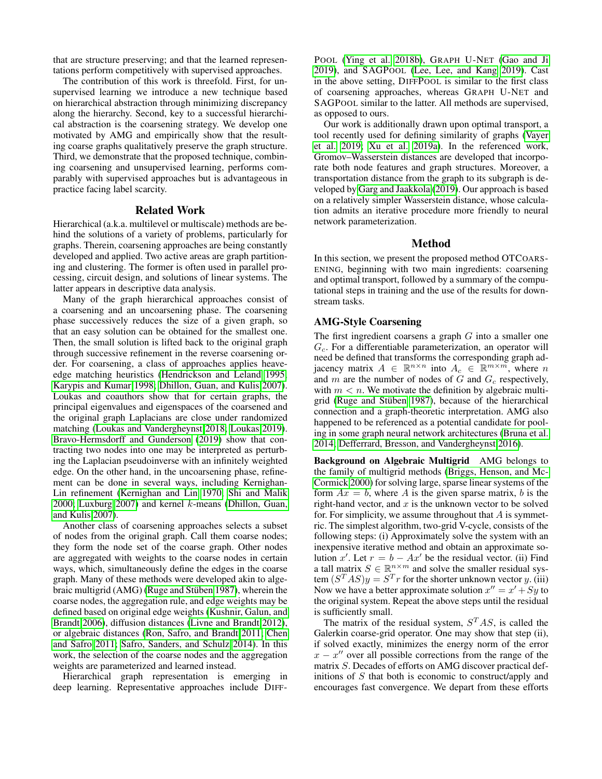that are structure preserving; and that the learned representations perform competitively with supervised approaches.

The contribution of this work is threefold. First, for unsupervised learning we introduce a new technique based on hierarchical abstraction through minimizing discrepancy along the hierarchy. Second, key to a successful hierarchical abstraction is the coarsening strategy. We develop one motivated by AMG and empirically show that the resulting coarse graphs qualitatively preserve the graph structure. Third, we demonstrate that the proposed technique, combining coarsening and unsupervised learning, performs comparably with supervised approaches but is advantageous in practice facing label scarcity.

## Related Work

Hierarchical (a.k.a. multilevel or multiscale) methods are behind the solutions of a variety of problems, particularly for graphs. Therein, coarsening approaches are being constantly developed and applied. Two active areas are graph partitioning and clustering. The former is often used in parallel processing, circuit design, and solutions of linear systems. The latter appears in descriptive data analysis.

Many of the graph hierarchical approaches consist of a coarsening and an uncoarsening phase. The coarsening phase successively reduces the size of a given graph, so that an easy solution can be obtained for the smallest one. Then, the small solution is lifted back to the original graph through successive refinement in the reverse coarsening order. For coarsening, a class of approaches applies heaveedge matching heuristics [\(Hendrickson and Leland 1995;](#page-7-18) [Karypis and Kumar 1998;](#page-7-19) [Dhillon, Guan, and Kulis 2007\)](#page-7-20). Loukas and coauthors show that for certain graphs, the principal eigenvalues and eigenspaces of the coarsened and the original graph Laplacians are close under randomized matching [\(Loukas and Vandergheynst 2018;](#page-7-21) [Loukas 2019\)](#page-7-22). [Bravo-Hermsdorff and Gunderson](#page-7-23) [\(2019\)](#page-7-23) show that contracting two nodes into one may be interpreted as perturbing the Laplacian pseudoinverse with an infinitely weighted edge. On the other hand, in the uncoarsening phase, refinement can be done in several ways, including Kernighan-Lin refinement [\(Kernighan and Lin 1970;](#page-7-24) [Shi and Malik](#page-8-9) [2000;](#page-8-9) [Luxburg 2007\)](#page-7-25) and kernel  $k$ -means [\(Dhillon, Guan,](#page-7-20) [and Kulis 2007\)](#page-7-20).

Another class of coarsening approaches selects a subset of nodes from the original graph. Call them coarse nodes; they form the node set of the coarse graph. Other nodes are aggregated with weights to the coarse nodes in certain ways, which, simultaneously define the edges in the coarse graph. Many of these methods were developed akin to algebraic multigrid (AMG) (Ruge and Stüben 1987), wherein the coarse nodes, the aggregation rule, and edge weights may be defined based on original edge weights [\(Kushnir, Galun, and](#page-7-27) [Brandt 2006\)](#page-7-27), diffusion distances [\(Livne and Brandt 2012\)](#page-7-28), or algebraic distances [\(Ron, Safro, and Brandt 2011;](#page-7-29) [Chen](#page-7-30) [and Safro 2011;](#page-7-30) [Safro, Sanders, and Schulz 2014\)](#page-7-31). In this work, the selection of the coarse nodes and the aggregation weights are parameterized and learned instead.

Hierarchical graph representation is emerging in deep learning. Representative approaches include DIFF-

POOL [\(Ying et al. 2018b\)](#page-8-8), GRAPH U-NET [\(Gao and Ji](#page-7-16) [2019\)](#page-7-16), and SAGPOOL [\(Lee, Lee, and Kang 2019\)](#page-7-17). Cast in the above setting, DIFFPOOL is similar to the first class of coarsening approaches, whereas GRAPH U-NET and SAGPOOL similar to the latter. All methods are supervised, as opposed to ours.

Our work is additionally drawn upon optimal transport, a tool recently used for defining similarity of graphs [\(Vayer](#page-8-10) [et al. 2019;](#page-8-10) [Xu et al. 2019a\)](#page-8-11). In the referenced work, Gromov–Wasserstein distances are developed that incorporate both node features and graph structures. Moreover, a transportation distance from the graph to its subgraph is developed by [Garg and Jaakkola](#page-7-32) [\(2019\)](#page-7-32). Our approach is based on a relatively simpler Wasserstein distance, whose calculation admits an iterative procedure more friendly to neural network parameterization.

## Method

In this section, we present the proposed method OTCOARS-ENING, beginning with two main ingredients: coarsening and optimal transport, followed by a summary of the computational steps in training and the use of the results for downstream tasks.

## AMG-Style Coarsening

The first ingredient coarsens a graph  $G$  into a smaller one  $G_c$ . For a differentiable parameterization, an operator will need be defined that transforms the corresponding graph adjacency matrix  $A \in \mathbb{R}^{n \times n}$  into  $A_c \in \mathbb{R}^{m \times m}$ , where n and m are the number of nodes of  $G$  and  $G_c$  respectively, with  $m < n$ . We motivate the definition by algebraic multigrid (Ruge and Stüben 1987), because of the hierarchical connection and a graph-theoretic interpretation. AMG also happened to be referenced as a potential candidate for pooling in some graph neural network architectures [\(Bruna et al.](#page-7-0) [2014;](#page-7-0) [Defferrard, Bresson, and Vandergheynst 2016\)](#page-7-3).

Background on Algebraic Multigrid AMG belongs to the family of multigrid methods [\(Briggs, Henson, and Mc-](#page-7-33)[Cormick 2000\)](#page-7-33) for solving large, sparse linear systems of the form  $Ax = b$ , where A is the given sparse matrix, b is the right-hand vector, and  $x$  is the unknown vector to be solved for. For simplicity, we assume throughout that  $A$  is symmetric. The simplest algorithm, two-grid V-cycle, consists of the following steps: (i) Approximately solve the system with an inexpensive iterative method and obtain an approximate solution x'. Let  $r = b - Ax'$  be the residual vector. (ii) Find a tall matrix  $S \in \mathbb{R}^{n \times m}$  and solve the smaller residual system  $(S<sup>T</sup> AS)y = S<sup>T</sup>r$  for the shorter unknown vector y. (iii) Now we have a better approximate solution  $x'' = x' + Sy$  to the original system. Repeat the above steps until the residual is sufficiently small.

The matrix of the residual system,  $S<sup>T</sup>AS$ , is called the Galerkin coarse-grid operator. One may show that step (ii), if solved exactly, minimizes the energy norm of the error  $x - x''$  over all possible corrections from the range of the matrix S. Decades of efforts on AMG discover practical definitions of  $S$  that both is economic to construct/apply and encourages fast convergence. We depart from these efforts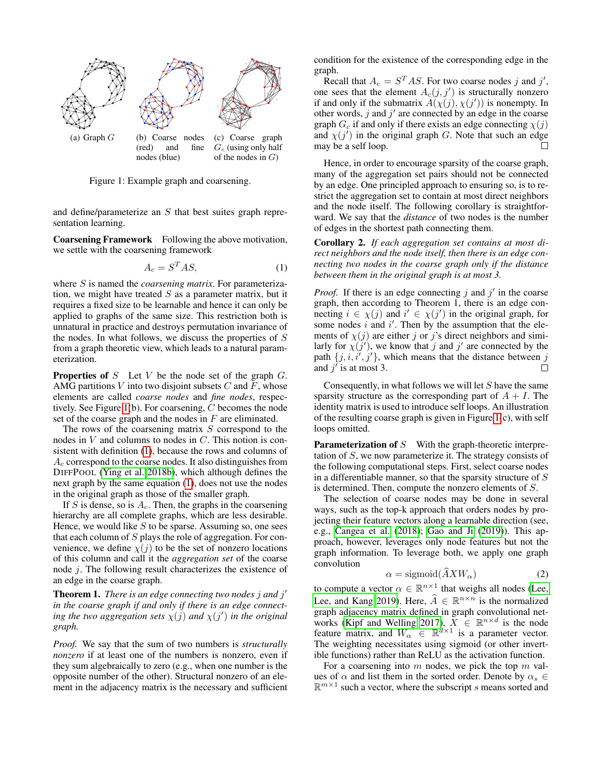<span id="page-2-0"></span>

Figure 1: Example graph and coarsening.

and define/parameterize an S that best suites graph representation learning.

Coarsening Framework Following the above motivation, we settle with the coarsening framework

<span id="page-2-1"></span>
$$
A_c = S^T A S,\tag{1}
$$

where S is named the *coarsening matrix*. For parameterization, we might have treated  $S$  as a parameter matrix, but it requires a fixed size to be learnable and hence it can only be applied to graphs of the same size. This restriction both is unnatural in practice and destroys permutation invariance of the nodes. In what follows, we discuss the properties of S from a graph theoretic view, which leads to a natural parameterization.

**Properties of**  $S$  Let  $V$  be the node set of the graph  $G$ . AMG partitions V into two disjoint subsets C and F, whose elements are called *coarse nodes* and *fine nodes*, respectively. See Figure [1\(](#page-2-0)b). For coarsening, C becomes the node set of the coarse graph and the nodes in  $F$  are eliminated.

The rows of the coarsening matrix  $S$  correspond to the nodes in V and columns to nodes in C. This notion is consistent with definition [\(1\)](#page-2-1), because the rows and columns of  $A_c$  correspond to the coarse nodes. It also distinguishes from DIFFPOOL [\(Ying et al. 2018b\)](#page-8-8), which although defines the next graph by the same equation [\(1\)](#page-2-1), does not use the nodes in the original graph as those of the smaller graph.

If S is dense, so is  $A_c$ . Then, the graphs in the coarsening hierarchy are all complete graphs, which are less desirable. Hence, we would like  $S$  to be sparse. Assuming so, one sees that each column of  $S$  plays the role of aggregation. For convenience, we define  $\chi(j)$  to be the set of nonzero locations of this column and call it the *aggregation set* of the coarse node j. The following result characterizes the existence of an edge in the coarse graph.

**Theorem 1.** *There is an edge connecting two nodes j and j' in the coarse graph if and only if there is an edge connecting the two aggregation sets*  $\chi(j)$  *and*  $\chi(j')$  *in the original graph.*

*Proof.* We say that the sum of two numbers is *structurally nonzero* if at least one of the numbers is nonzero, even if they sum algebraically to zero (e.g., when one number is the opposite number of the other). Structural nonzero of an element in the adjacency matrix is the necessary and sufficient

condition for the existence of the corresponding edge in the graph.

Recall that  $A_c = S^T A S$ . For two coarse nodes j and j', one sees that the element  $A_c(j, j')$  is structurally nonzero if and only if the submatrix  $A(\chi(j), \chi(j'))$  is nonempty. In other words,  $j$  and  $j'$  are connected by an edge in the coarse graph  $G_c$  if and only if there exists an edge connecting  $\chi(j)$ and  $\chi(j')$  in the original graph G. Note that such an edge may be a self loop.

Hence, in order to encourage sparsity of the coarse graph, many of the aggregation set pairs should not be connected by an edge. One principled approach to ensuring so, is to restrict the aggregation set to contain at most direct neighbors and the node itself. The following corollary is straightforward. We say that the *distance* of two nodes is the number of edges in the shortest path connecting them.

<span id="page-2-2"></span>Corollary 2. *If each aggregation set contains at most direct neighbors and the node itself, then there is an edge connecting two nodes in the coarse graph only if the distance between them in the original graph is at most 3.*

*Proof.* If there is an edge connecting  $j$  and  $j'$  in the coarse graph, then according to Theorem 1, there is an edge connecting  $i \in \chi(j)$  and  $i' \in \chi(j')$  in the original graph, for some nodes  $i$  and  $i'$ . Then by the assumption that the elements of  $\chi(j)$  are either j or j's direct neighbors and similarly for  $\chi(j')$ , we know that j and j' are connected by the path  $\{j, i, i', j'\}$ , which means that the distance between j and  $j'$  is at most 3.  $\Box$ 

Consequently, in what follows we will let S have the same sparsity structure as the corresponding part of  $A + I$ . The identity matrix is used to introduce self loops. An illustration of the resulting coarse graph is given in Figure [1\(](#page-2-0)c), with self loops omitted.

**Parameterization of S** With the graph-theoretic interpretation of S, we now parameterize it. The strategy consists of the following computational steps. First, select coarse nodes in a differentiable manner, so that the sparsity structure of  $S$ is determined. Then, compute the nonzero elements of S.

The selection of coarse nodes may be done in several ways, such as the top-k approach that orders nodes by projecting their feature vectors along a learnable direction (see, e.g., [Cangea et al.](#page-7-34) [\(2018\)](#page-7-34); [Gao and Ji](#page-7-16) [\(2019\)](#page-7-16)). This approach, however, leverages only node features but not the graph information. To leverage both, we apply one graph convolution

<span id="page-2-3"></span>
$$
\alpha = \text{sigmoid}(AXW_{\alpha})
$$
 (2)

to compute a vector  $\alpha \in \mathbb{R}^{n \times 1}$  that weighs all nodes [\(Lee,](#page-7-17) [Lee, and Kang 2019\)](#page-7-17). Here,  $\hat{A} \in \mathbb{R}^{n \times n}$  is the normalized graph adjacency matrix defined in graph convolutional net-works [\(Kipf and Welling 2017\)](#page-7-4),  $\overline{X} \in \mathbb{R}^{n \times d}$  is the node feature matrix, and  $W_{\alpha} \in \mathbb{R}^{d \times 1}$  is a parameter vector. The weighting necessitates using sigmoid (or other invertible functions) rather than ReLU as the activation function.

For a coarsening into  $m$  nodes, we pick the top  $m$  values of  $\alpha$  and list them in the sorted order. Denote by  $\alpha_s \in$  $\mathbb{R}^{m \times 1}$  such a vector, where the subscript s means sorted and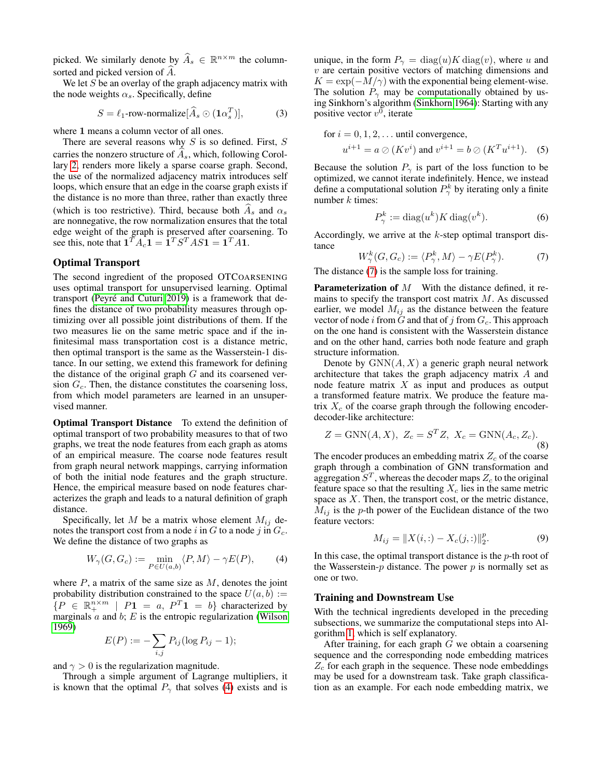picked. We similarly denote by  $\widehat{A}_s \in \mathbb{R}^{n \times m}$  the columnsorted and picked version of  $\ddot{A}$ .

We let  $S$  be an overlay of the graph adjacency matrix with the node weights  $\alpha_s$ . Specifically, define

$$
S = \ell_1\text{-row-normalize}[\widehat{A}_s \odot (\mathbf{1}\alpha_s^T)],\tag{3}
$$

where 1 means a column vector of all ones.

There are several reasons why  $S$  is so defined. First,  $S$ carries the nonzero structure of  $A_s$ , which, following Corollary [2,](#page-2-2) renders more likely a sparse coarse graph. Second, the use of the normalized adjacency matrix introduces self loops, which ensure that an edge in the coarse graph exists if the distance is no more than three, rather than exactly three (which is too restrictive). Third, because both  $\widehat{A}_s$  and  $\alpha_s$ are nonnegative, the row normalization ensures that the total edge weight of the graph is preserved after coarsening. To see this, note that  $\mathbf{1}^T A_c \mathbf{1} = \mathbf{1}^T S^T AS \mathbf{1} = \mathbf{1}^T A \mathbf{1}$ .

## Optimal Transport

The second ingredient of the proposed OTCOARSENING uses optimal transport for unsupervised learning. Optimal transport (Peyré and Cuturi 2019) is a framework that defines the distance of two probability measures through optimizing over all possible joint distributions of them. If the two measures lie on the same metric space and if the infinitesimal mass transportation cost is a distance metric, then optimal transport is the same as the Wasserstein-1 distance. In our setting, we extend this framework for defining the distance of the original graph  $G$  and its coarsened version  $G_c$ . Then, the distance constitutes the coarsening loss, from which model parameters are learned in an unsupervised manner.

Optimal Transport Distance To extend the definition of optimal transport of two probability measures to that of two graphs, we treat the node features from each graph as atoms of an empirical measure. The coarse node features result from graph neural network mappings, carrying information of both the initial node features and the graph structure. Hence, the empirical measure based on node features characterizes the graph and leads to a natural definition of graph distance.

Specifically, let M be a matrix whose element  $M_{ij}$  denotes the transport cost from a node i in G to a node j in  $G_c$ . We define the distance of two graphs as

$$
W_{\gamma}(G, G_c) := \min_{P \in U(a, b)} \langle P, M \rangle - \gamma E(P), \tag{4}
$$

where  $P$ , a matrix of the same size as  $M$ , denotes the joint probability distribution constrained to the space  $U(a, b) :=$  $\{P \in \mathbb{R}_+^{n \times m} \mid P1 = a, P^T1 = b\}$  characterized by marginals  $a$  and  $b$ ;  $E$  is the entropic regularization [\(Wilson](#page-8-12) [1969\)](#page-8-12)

$$
E(P) := -\sum_{i,j} P_{ij} (\log P_{ij} - 1);
$$

and  $\gamma > 0$  is the regularization magnitude.

Through a simple argument of Lagrange multipliers, it is known that the optimal  $P_{\gamma}$  that solves [\(4\)](#page-3-0) exists and is

<span id="page-3-2"></span>unique, in the form  $P_{\gamma} = \text{diag}(u)K \text{diag}(v)$ , where u and  $v$  are certain positive vectors of matching dimensions and  $K = \exp(-M/\gamma)$  with the exponential being element-wise. The solution  $P_{\gamma}$  may be computationally obtained by using Sinkhorn's algorithm [\(Sinkhorn 1964\)](#page-8-13): Starting with any positive vector  $v^0$ , iterate

for 
$$
i = 0, 1, 2, ...
$$
 until convergence,  
\n $u^{i+1} = a \oslash (Kv^i)$  and  $v^{i+1} = b \oslash (K^T u^{i+1})$ . (5)

Because the solution  $P_{\gamma}$  is part of the loss function to be optimized, we cannot iterate indefinitely. Hence, we instead define a computational solution  $P_{\gamma}^{k}$  by iterating only a finite number  $k$  times:

<span id="page-3-6"></span><span id="page-3-5"></span>
$$
P^k_\gamma := \text{diag}(u^k) K \text{ diag}(v^k). \tag{6}
$$

Accordingly, we arrive at the  $k$ -step optimal transport distance

<span id="page-3-1"></span>
$$
W^k_\gamma(G, G_c) := \langle P^k_\gamma, M \rangle - \gamma E(P^k_\gamma). \tag{7}
$$

The distance [\(7\)](#page-3-1) is the sample loss for training.

**Parameterization of**  $M$  With the distance defined, it remains to specify the transport cost matrix  $M$ . As discussed earlier, we model  $M_{ij}$  as the distance between the feature vector of node i from  $\tilde{G}$  and that of j from  $G_c$ . This approach on the one hand is consistent with the Wasserstein distance and on the other hand, carries both node feature and graph structure information.

Denote by  $GNN(A, X)$  a generic graph neural network architecture that takes the graph adjacency matrix A and node feature matrix  $X$  as input and produces as output a transformed feature matrix. We produce the feature matrix  $X_c$  of the coarse graph through the following encoderdecoder-like architecture:

<span id="page-3-3"></span>
$$
Z = \text{GNN}(A, X), Z_c = S^T Z, X_c = \text{GNN}(A_c, Z_c).
$$
\n(8)

The encoder produces an embedding matrix  $Z_c$  of the coarse graph through a combination of GNN transformation and aggregation  $S<sup>T</sup>$ , whereas the decoder maps  $Z<sub>c</sub>$  to the original feature space so that the resulting  $X_c$  lies in the same metric space as  $X$ . Then, the transport cost, or the metric distance,  $M_{ij}$  is the p-th power of the Euclidean distance of the two feature vectors:

<span id="page-3-4"></span>
$$
M_{ij} = \|X(i,:) - X_c(j,:)\|_2^p.
$$
 (9)

<span id="page-3-0"></span>In this case, the optimal transport distance is the  $p$ -th root of the Wasserstein- $p$  distance. The power  $p$  is normally set as one or two.

## Training and Downstream Use

With the technical ingredients developed in the preceding subsections, we summarize the computational steps into Algorithm [1,](#page-4-0) which is self explanatory.

After training, for each graph  $G$  we obtain a coarsening sequence and the corresponding node embedding matrices  $Z_c$  for each graph in the sequence. These node embeddings may be used for a downstream task. Take graph classification as an example. For each node embedding matrix, we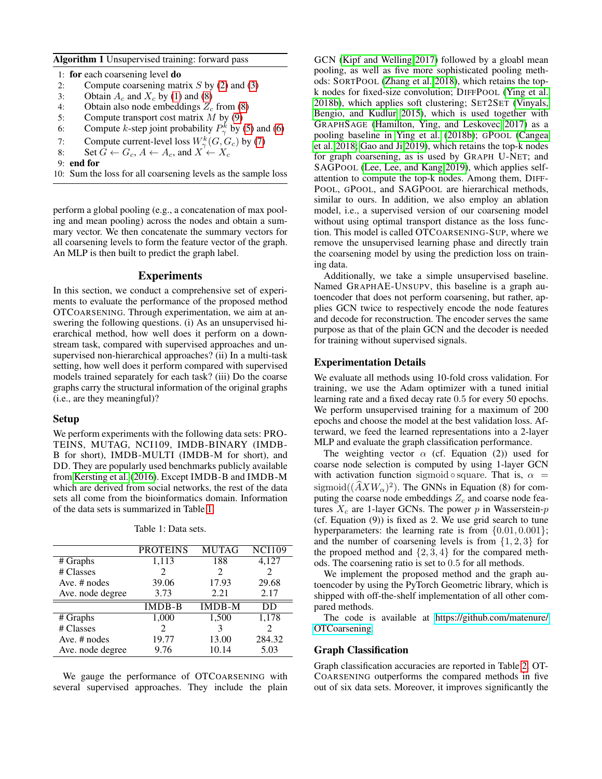<span id="page-4-0"></span>Algorithm 1 Unsupervised training: forward pass

- 1: for each coarsening level do
- 2: Compute coarsening matrix  $S$  by [\(2\)](#page-2-3) and [\(3\)](#page-3-2)
- 3: Obtain  $A_c$  and  $X_c$  by [\(1\)](#page-2-1) and [\(8\)](#page-3-3)<br>4: Obtain also node embeddings  $Z_c$
- 4: Obtain also node embeddings  $Z_c$  from [\(8\)](#page-3-3)<br>5: Compute transport cost matrix  $M$  by (9)
- Compute transport cost matrix  $M$  by [\(9\)](#page-3-4)
- 6: Compute *k*-step joint probability  $P^k_\gamma$  by [\(5\)](#page-3-5) and [\(6\)](#page-3-6)
- 7: Compute current-level loss  $W^k_\gamma(G, G_c)$  by [\(7\)](#page-3-1)
- 8: Set  $G \leftarrow G_c$ ,  $A \leftarrow A_c$ , and  $X' \leftarrow X_c$
- 9: end for
- 10: Sum the loss for all coarsening levels as the sample loss

perform a global pooling (e.g., a concatenation of max pooling and mean pooling) across the nodes and obtain a summary vector. We then concatenate the summary vectors for all coarsening levels to form the feature vector of the graph. An MLP is then built to predict the graph label.

## Experiments

In this section, we conduct a comprehensive set of experiments to evaluate the performance of the proposed method OTCOARSENING. Through experimentation, we aim at answering the following questions. (i) As an unsupervised hierarchical method, how well does it perform on a downstream task, compared with supervised approaches and unsupervised non-hierarchical approaches? (ii) In a multi-task setting, how well does it perform compared with supervised models trained separately for each task? (iii) Do the coarse graphs carry the structural information of the original graphs (i.e., are they meaningful)?

#### Setup

We perform experiments with the following data sets: PRO-TEINS, MUTAG, NCI109, IMDB-BINARY (IMDB-B for short), IMDB-MULTI (IMDB-M for short), and DD. They are popularly used benchmarks publicly available from [Kersting et al.](#page-7-36) [\(2016\)](#page-7-36). Except IMDB-B and IMDB-M which are derived from social networks, the rest of the data sets all come from the bioinformatics domain. Information of the data sets is summarized in Table [1.](#page-4-1)

<span id="page-4-1"></span>

|                  | <b>PROTEINS</b>             | <b>MUTAG</b>                | <b>NCI109</b> |
|------------------|-----------------------------|-----------------------------|---------------|
| # Graphs         | 1,113                       | 188                         | 4,127         |
| # Classes        | $\mathcal{D}_{\mathcal{A}}$ | $\mathcal{D}_{\mathcal{L}}$ |               |
| Ave. # nodes     | 39.06                       | 17.93                       | 29.68         |
| Ave. node degree | 3.73                        | 2.21                        | 2.17          |
|                  | $\overline{\text{IMDB}}$ -B | <b>IMDB-M</b>               | DD            |
| # Graphs         | 1,000                       | 1,500                       | 1,178         |
| # Classes        | $\mathcal{D}_{\mathcal{L}}$ | 3                           | 2             |
| Ave. # nodes     | 19.77                       | 13.00                       | 284.32        |
| Ave. node degree | 9.76                        | 10.14                       | 5.03          |

Table 1: Data sets.

We gauge the performance of OTCOARSENING with several supervised approaches. They include the plain

GCN [\(Kipf and Welling 2017\)](#page-7-4) followed by a gloabl mean pooling, as well as five more sophisticated pooling methods: SORTPOOL [\(Zhang et al. 2018\)](#page-8-14), which retains the topk nodes for fixed-size convolution; DIFFPOOL [\(Ying et al.](#page-8-8) [2018b\)](#page-8-8), which applies soft clustering; SET2SET [\(Vinyals,](#page-8-15) [Bengio, and Kudlur 2015\)](#page-8-15), which is used together with GRAPHSAGE [\(Hamilton, Ying, and Leskovec 2017\)](#page-7-5) as a pooling baseline in [Ying et al.](#page-8-8) [\(2018b\)](#page-8-8); GPOOL [\(Cangea](#page-7-34) [et al. 2018;](#page-7-34) [Gao and Ji 2019\)](#page-7-16), which retains the top-k nodes for graph coarsening, as is used by GRAPH U-NET; and SAGPOOL [\(Lee, Lee, and Kang 2019\)](#page-7-17), which applies selfattention to compute the top-k nodes. Among them, DIFF-POOL, GPOOL, and SAGPOOL are hierarchical methods, similar to ours. In addition, we also employ an ablation model, i.e., a supervised version of our coarsening model without using optimal transport distance as the loss function. This model is called OTCOARSENING-SUP, where we remove the unsupervised learning phase and directly train the coarsening model by using the prediction loss on training data.

Additionally, we take a simple unsupervised baseline. Named GRAPHAE-UNSUPV, this baseline is a graph autoencoder that does not perform coarsening, but rather, applies GCN twice to respectively encode the node features and decode for reconstruction. The encoder serves the same purpose as that of the plain GCN and the decoder is needed for training without supervised signals.

## Experimentation Details

We evaluate all methods using 10-fold cross validation. For training, we use the Adam optimizer with a tuned initial learning rate and a fixed decay rate 0.5 for every 50 epochs. We perform unsupervised training for a maximum of 200 epochs and choose the model at the best validation loss. Afterward, we feed the learned representations into a 2-layer MLP and evaluate the graph classification performance.

The weighting vector  $\alpha$  (cf. Equation (2)) used for coarse node selection is computed by using 1-layer GCN with activation function sigmoid • square. That is,  $\alpha$  = sigmoid( $(\hat{A}XW_{\alpha})^2$ ). The GNNs in Equation (8) for computing the coarse node embeddings  $Z_c$  and coarse node features  $X_c$  are 1-layer GCNs. The power p in Wasserstein-p (cf. Equation (9)) is fixed as 2. We use grid search to tune hyperparameters: the learning rate is from  $\{0.01, 0.001\}$ ; and the number of coarsening levels is from  $\{1, 2, 3\}$  for the propoed method and  $\{2, 3, 4\}$  for the compared methods. The coarsening ratio is set to 0.5 for all methods.

We implement the proposed method and the graph autoencoder by using the PyTorch Geometric library, which is shipped with off-the-shelf implementation of all other compared methods.

The code is available at [https://github.com/matenure/](https://github.com/matenure/OTCoarsening) [OTCoarsening.](https://github.com/matenure/OTCoarsening)

## Graph Classification

Graph classification accuracies are reported in Table [2.](#page-5-0) OT-COARSENING outperforms the compared methods in five out of six data sets. Moreover, it improves significantly the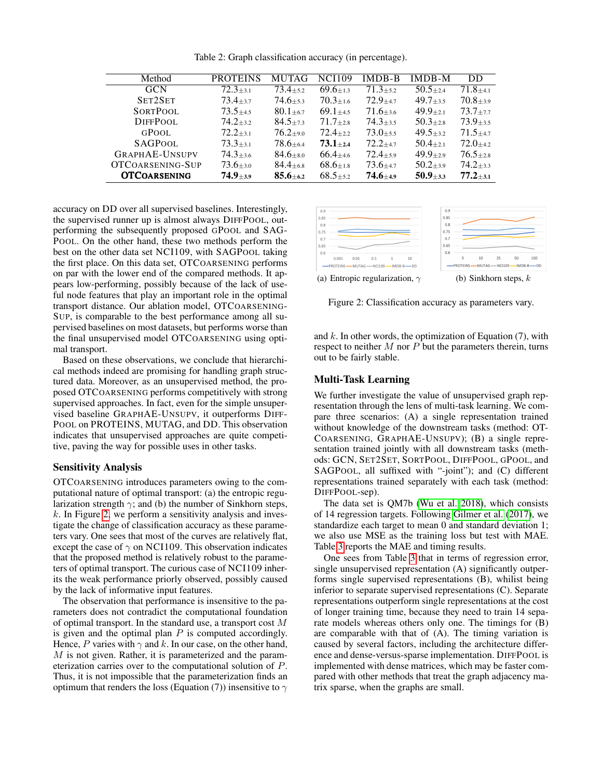<span id="page-5-0"></span>

| Method                | <b>PROTEINS</b>              | <b>MUTAG</b>                | <b>NCI109</b>               | <b>IMDB-B</b> | IMDB-M                        | DD            |
|-----------------------|------------------------------|-----------------------------|-----------------------------|---------------|-------------------------------|---------------|
| <b>GCN</b>            | $72.3 + 3.1$                 | $73.4{\scriptstyle \pm5.2}$ | $69.6 + 13$                 | $71.3 + 5.2$  | $50.5 + 2.4$                  | $71.8 + 4.1$  |
| SET2SET               | $73.4 \scriptstyle{\pm 3.7}$ | $74.6 + 5.3$                | $70.3 + 1.6$                | $72.9 + 4.7$  | $49.7 + 3.5$                  | $70.8 + 3.9$  |
| <b>SORTPOOL</b>       | $73.5 + 4.5$                 | $80.1 + 6.7$                | $69.1 + 4.5$                | $71.6 + 3.6$  | $49.9{\scriptstyle~ \pm 2.1}$ | $73.7 + 7.7$  |
| DIFFPOOL              | $74.2 + 3.2$                 | $84.5 + 7.3$                | $71.7 + 2.8$                | $74.3 + 3.5$  | $50.3 + 2.8$                  | $73.9 + 3.5$  |
| GPOOL                 | $72.2 + 3.1$                 | $76.2{\scriptstyle \pm9.0}$ | $72.4 + 2.2$                | $73.0 + 5.5$  | $49.5 + 3.2$                  | $71.5 + 47$   |
| <b>SAGPOOL</b>        | $73.3 + 3.1$                 | $78.6 + 6.4$                | $73.1 + 2.4$                | $72.2 + 4.7$  | $50.4 + 2.1$                  | $72.0 + 4.2$  |
| <b>GRAPHAE-UNSUPV</b> | $74.3{\scriptstyle \pm3.6}$  | $84.6 + s.0$                | $66.4{\scriptstyle \pm4.6}$ | $72.4 + 5.9$  | $49.9 + 2.9$                  | $76.5 + 2.8$  |
| OTCOARSENING-SUP      | $73.6 \pm 3.0$               | $84.4_{\pm 6.8}$            | $68.6 + 1.8$                | $73.6 + 4.7$  | $50.2 + 3.9$                  | $74.2 + 3.3$  |
| <b>OTCOARSENING</b>   | $74.9{\scriptstyle \pm3.9}$  | $85.6 + 6.2$                | $68.5 + 5.2$                | $74.6 + 4.9$  | $50.9_{\pm 3.3}$              | $77.2_{+3.1}$ |

Table 2: Graph classification accuracy (in percentage).

accuracy on DD over all supervised baselines. Interestingly, the supervised runner up is almost always DIFFPOOL, outperforming the subsequently proposed GPOOL and SAG-POOL. On the other hand, these two methods perform the best on the other data set NCI109, with SAGPOOL taking the first place. On this data set, OTCOARSENING performs on par with the lower end of the compared methods. It appears low-performing, possibly because of the lack of useful node features that play an important role in the optimal transport distance. Our ablation model, OTCOARSENING-SUP, is comparable to the best performance among all supervised baselines on most datasets, but performs worse than the final unsupervised model OTCOARSENING using optimal transport.

Based on these observations, we conclude that hierarchical methods indeed are promising for handling graph structured data. Moreover, as an unsupervised method, the proposed OTCOARSENING performs competitively with strong supervised approaches. In fact, even for the simple unsupervised baseline GRAPHAE-UNSUPV, it outperforms DIFF-POOL on PROTEINS, MUTAG, and DD. This observation indicates that unsupervised approaches are quite competitive, paving the way for possible uses in other tasks.

## Sensitivity Analysis

OTCOARSENING introduces parameters owing to the computational nature of optimal transport: (a) the entropic regularization strength  $\gamma$ ; and (b) the number of Sinkhorn steps,  $k$ . In Figure [2,](#page-5-1) we perform a sensitivity analysis and investigate the change of classification accuracy as these parameters vary. One sees that most of the curves are relatively flat, except the case of  $\gamma$  on NCI109. This observation indicates that the proposed method is relatively robust to the parameters of optimal transport. The curious case of NCI109 inherits the weak performance priorly observed, possibly caused by the lack of informative input features.

The observation that performance is insensitive to the parameters does not contradict the computational foundation of optimal transport. In the standard use, a transport cost M is given and the optimal plan  $P$  is computed accordingly. Hence, P varies with  $\gamma$  and k. In our case, on the other hand, M is not given. Rather, it is parameterized and the parameterization carries over to the computational solution of P. Thus, it is not impossible that the parameterization finds an optimum that renders the loss (Equation (7)) insensitive to  $\gamma$ 

<span id="page-5-1"></span>

Figure 2: Classification accuracy as parameters vary.

and  $k$ . In other words, the optimization of Equation (7), with respect to neither  $M$  nor  $P$  but the parameters therein, turns out to be fairly stable.

## Multi-Task Learning

We further investigate the value of unsupervised graph representation through the lens of multi-task learning. We compare three scenarios: (A) a single representation trained without knowledge of the downstream tasks (method: OT-COARSENING, GRAPHAE-UNSUPV); (B) a single representation trained jointly with all downstream tasks (methods: GCN, SET2SET, SORTPOOL, DIFFPOOL, GPOOL, and SAGPOOL, all suffixed with "-joint"); and (C) different representations trained separately with each task (method: DIFFPOOL-sep).

The data set is QM7b [\(Wu et al. 2018\)](#page-8-16), which consists of 14 regression targets. Following [Gilmer et al.](#page-7-9) [\(2017\)](#page-7-9), we standardize each target to mean 0 and standard deviation 1; we also use MSE as the training loss but test with MAE. Table [3](#page-6-0) reports the MAE and timing results.

One sees from Table [3](#page-6-0) that in terms of regression error, single unsupervised representation (A) significantly outperforms single supervised representations (B), whilist being inferior to separate supervised representations (C). Separate representations outperform single representations at the cost of longer training time, because they need to train 14 separate models whereas others only one. The timings for (B) are comparable with that of (A). The timing variation is caused by several factors, including the architecture difference and dense-versus-sparse implementation. DIFFPOOL is implemented with dense matrices, which may be faster compared with other methods that treat the graph adjacency matrix sparse, when the graphs are small.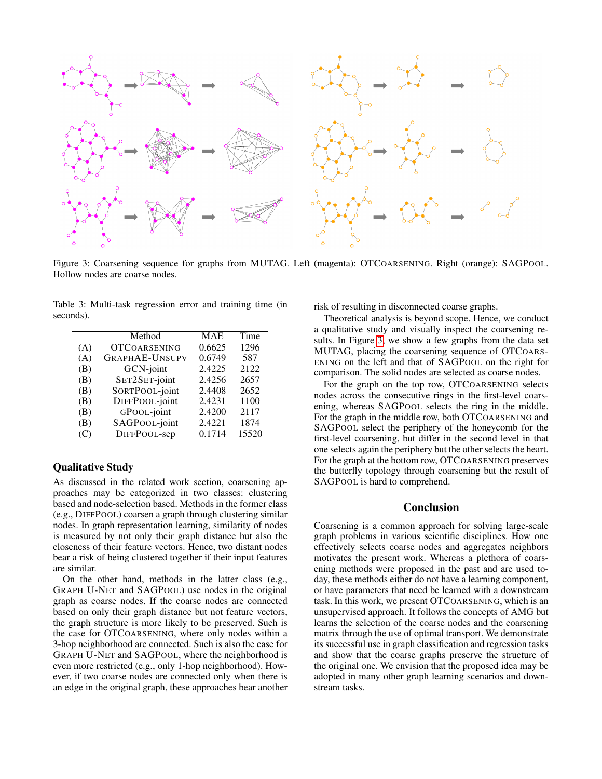<span id="page-6-1"></span>

Figure 3: Coarsening sequence for graphs from MUTAG. Left (magenta): OTCOARSENING. Right (orange): SAGPOOL. Hollow nodes are coarse nodes.

<span id="page-6-0"></span>Table 3: Multi-task regression error and training time (in seconds).

|     | Method                | <b>MAE</b> | Time  |
|-----|-----------------------|------------|-------|
| (A) | <b>OTCOARSENING</b>   | 0.6625     | 1296  |
| (A) | <b>GRAPHAE-UNSUPV</b> | 0.6749     | 587   |
| (B) | GCN-joint             | 2.4225     | 2122  |
| (B) | SET2SET-joint         | 2.4256     | 2657  |
| (B) | SORTPOOL-joint        | 2.4408     | 2652  |
| (B) | DIFFPOOL-joint        | 2.4231     | 1100  |
| (B) | GPOOL-joint           | 2.4200     | 2117  |
| (B) | SAGPOOL-joint         | 2.4221     | 1874  |
| (C) | DIFFPOOL-sep          | 0.1714     | 15520 |

## Qualitative Study

As discussed in the related work section, coarsening approaches may be categorized in two classes: clustering based and node-selection based. Methods in the former class (e.g., DIFFPOOL) coarsen a graph through clustering similar nodes. In graph representation learning, similarity of nodes is measured by not only their graph distance but also the closeness of their feature vectors. Hence, two distant nodes bear a risk of being clustered together if their input features are similar.

On the other hand, methods in the latter class (e.g., GRAPH U-NET and SAGPOOL) use nodes in the original graph as coarse nodes. If the coarse nodes are connected based on only their graph distance but not feature vectors, the graph structure is more likely to be preserved. Such is the case for OTCOARSENING, where only nodes within a 3-hop neighborhood are connected. Such is also the case for GRAPH U-NET and SAGPOOL, where the neighborhood is even more restricted (e.g., only 1-hop neighborhood). However, if two coarse nodes are connected only when there is an edge in the original graph, these approaches bear another

risk of resulting in disconnected coarse graphs.

Theoretical analysis is beyond scope. Hence, we conduct a qualitative study and visually inspect the coarsening results. In Figure [3,](#page-6-1) we show a few graphs from the data set MUTAG, placing the coarsening sequence of OTCOARS-ENING on the left and that of SAGPOOL on the right for comparison. The solid nodes are selected as coarse nodes.

For the graph on the top row, OTCOARSENING selects nodes across the consecutive rings in the first-level coarsening, whereas SAGPOOL selects the ring in the middle. For the graph in the middle row, both OTCOARSENING and SAGPOOL select the periphery of the honeycomb for the first-level coarsening, but differ in the second level in that one selects again the periphery but the other selects the heart. For the graph at the bottom row, OTCOARSENING preserves the butterfly topology through coarsening but the result of SAGPOOL is hard to comprehend.

#### Conclusion

Coarsening is a common approach for solving large-scale graph problems in various scientific disciplines. How one effectively selects coarse nodes and aggregates neighbors motivates the present work. Whereas a plethora of coarsening methods were proposed in the past and are used today, these methods either do not have a learning component, or have parameters that need be learned with a downstream task. In this work, we present OTCOARSENING, which is an unsupervised approach. It follows the concepts of AMG but learns the selection of the coarse nodes and the coarsening matrix through the use of optimal transport. We demonstrate its successful use in graph classification and regression tasks and show that the coarse graphs preserve the structure of the original one. We envision that the proposed idea may be adopted in many other graph learning scenarios and downstream tasks.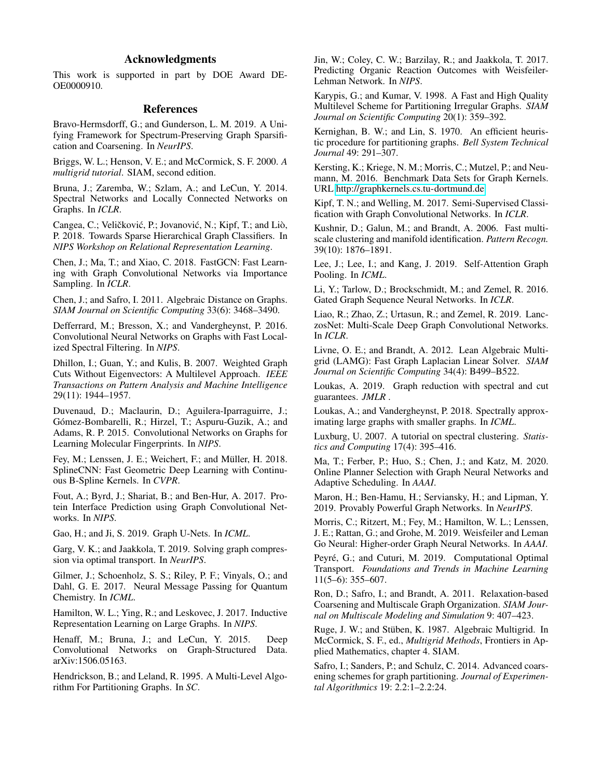# Acknowledgments

This work is supported in part by DOE Award DE-OE0000910.

## References

<span id="page-7-23"></span>Bravo-Hermsdorff, G.; and Gunderson, L. M. 2019. A Unifying Framework for Spectrum-Preserving Graph Sparsification and Coarsening. In *NeurIPS*.

<span id="page-7-33"></span>Briggs, W. L.; Henson, V. E.; and McCormick, S. F. 2000. *A multigrid tutorial*. SIAM, second edition.

<span id="page-7-0"></span>Bruna, J.; Zaremba, W.; Szlam, A.; and LeCun, Y. 2014. Spectral Networks and Locally Connected Networks on Graphs. In *ICLR*.

<span id="page-7-34"></span>Cangea, C.; Veličković, P.; Jovanović, N.; Kipf, T.; and Liò, P. 2018. Towards Sparse Hierarchical Graph Classifiers. In *NIPS Workshop on Relational Representation Learning*.

<span id="page-7-6"></span>Chen, J.; Ma, T.; and Xiao, C. 2018. FastGCN: Fast Learning with Graph Convolutional Networks via Importance Sampling. In *ICLR*.

<span id="page-7-30"></span>Chen, J.; and Safro, I. 2011. Algebraic Distance on Graphs. *SIAM Journal on Scientific Computing* 33(6): 3468–3490.

<span id="page-7-3"></span>Defferrard, M.; Bresson, X.; and Vandergheynst, P. 2016. Convolutional Neural Networks on Graphs with Fast Localized Spectral Filtering. In *NIPS*.

<span id="page-7-20"></span>Dhillon, I.; Guan, Y.; and Kulis, B. 2007. Weighted Graph Cuts Without Eigenvectors: A Multilevel Approach. *IEEE Transactions on Pattern Analysis and Machine Intelligence* 29(11): 1944–1957.

<span id="page-7-2"></span>Duvenaud, D.; Maclaurin, D.; Aguilera-Iparraguirre, J.; Gómez-Bombarelli, R.; Hirzel, T.; Aspuru-Guzik, A.; and Adams, R. P. 2015. Convolutional Networks on Graphs for Learning Molecular Fingerprints. In *NIPS*.

<span id="page-7-15"></span>Fey, M.; Lenssen, J. E.; Weichert, F.; and Müller, H. 2018. SplineCNN: Fast Geometric Deep Learning with Continuous B-Spline Kernels. In *CVPR*.

<span id="page-7-11"></span>Fout, A.; Byrd, J.; Shariat, B.; and Ben-Hur, A. 2017. Protein Interface Prediction using Graph Convolutional Networks. In *NIPS*.

<span id="page-7-16"></span>Gao, H.; and Ji, S. 2019. Graph U-Nets. In *ICML*.

<span id="page-7-32"></span>Garg, V. K.; and Jaakkola, T. 2019. Solving graph compression via optimal transport. In *NeurIPS*.

<span id="page-7-9"></span>Gilmer, J.; Schoenholz, S. S.; Riley, P. F.; Vinyals, O.; and Dahl, G. E. 2017. Neural Message Passing for Quantum Chemistry. In *ICML*.

<span id="page-7-5"></span>Hamilton, W. L.; Ying, R.; and Leskovec, J. 2017. Inductive Representation Learning on Large Graphs. In *NIPS*.

<span id="page-7-1"></span>Henaff, M.; Bruna, J.; and LeCun, Y. 2015. Deep Convolutional Networks on Graph-Structured Data. arXiv:1506.05163.

<span id="page-7-18"></span>Hendrickson, B.; and Leland, R. 1995. A Multi-Level Algorithm For Partitioning Graphs. In *SC*.

<span id="page-7-10"></span>Jin, W.; Coley, C. W.; Barzilay, R.; and Jaakkola, T. 2017. Predicting Organic Reaction Outcomes with Weisfeiler-Lehman Network. In *NIPS*.

<span id="page-7-19"></span>Karypis, G.; and Kumar, V. 1998. A Fast and High Quality Multilevel Scheme for Partitioning Irregular Graphs. *SIAM Journal on Scientific Computing* 20(1): 359–392.

<span id="page-7-24"></span>Kernighan, B. W.; and Lin, S. 1970. An efficient heuristic procedure for partitioning graphs. *Bell System Technical Journal* 49: 291–307.

<span id="page-7-36"></span>Kersting, K.; Kriege, N. M.; Morris, C.; Mutzel, P.; and Neumann, M. 2016. Benchmark Data Sets for Graph Kernels. URL [http://graphkernels.cs.tu-dortmund.de.](http://graphkernels.cs.tu-dortmund.de)

<span id="page-7-4"></span>Kipf, T. N.; and Welling, M. 2017. Semi-Supervised Classification with Graph Convolutional Networks. In *ICLR*.

<span id="page-7-27"></span>Kushnir, D.; Galun, M.; and Brandt, A. 2006. Fast multiscale clustering and manifold identification. *Pattern Recogn.* 39(10): 1876–1891.

<span id="page-7-17"></span>Lee, J.; Lee, I.; and Kang, J. 2019. Self-Attention Graph Pooling. In *ICML*.

<span id="page-7-8"></span>Li, Y.; Tarlow, D.; Brockschmidt, M.; and Zemel, R. 2016. Gated Graph Sequence Neural Networks. In *ICLR*.

<span id="page-7-7"></span>Liao, R.; Zhao, Z.; Urtasun, R.; and Zemel, R. 2019. LanczosNet: Multi-Scale Deep Graph Convolutional Networks. In *ICLR*.

<span id="page-7-28"></span>Livne, O. E.; and Brandt, A. 2012. Lean Algebraic Multigrid (LAMG): Fast Graph Laplacian Linear Solver. *SIAM Journal on Scientific Computing* 34(4): B499–B522.

<span id="page-7-22"></span>Loukas, A. 2019. Graph reduction with spectral and cut guarantees. *JMLR* .

<span id="page-7-21"></span>Loukas, A.; and Vandergheynst, P. 2018. Spectrally approximating large graphs with smaller graphs. In *ICML*.

<span id="page-7-25"></span>Luxburg, U. 2007. A tutorial on spectral clustering. *Statistics and Computing* 17(4): 395–416.

<span id="page-7-12"></span>Ma, T.; Ferber, P.; Huo, S.; Chen, J.; and Katz, M. 2020. Online Planner Selection with Graph Neural Networks and Adaptive Scheduling. In *AAAI*.

<span id="page-7-14"></span>Maron, H.; Ben-Hamu, H.; Serviansky, H.; and Lipman, Y. 2019. Provably Powerful Graph Networks. In *NeurIPS*.

<span id="page-7-13"></span>Morris, C.; Ritzert, M.; Fey, M.; Hamilton, W. L.; Lenssen, J. E.; Rattan, G.; and Grohe, M. 2019. Weisfeiler and Leman Go Neural: Higher-order Graph Neural Networks. In *AAAI*.

<span id="page-7-35"></span>Peyré, G.; and Cuturi, M. 2019. Computational Optimal Transport. *Foundations and Trends in Machine Learning* 11(5–6): 355–607.

<span id="page-7-29"></span>Ron, D.; Safro, I.; and Brandt, A. 2011. Relaxation-based Coarsening and Multiscale Graph Organization. *SIAM Journal on Multiscale Modeling and Simulation* 9: 407–423.

<span id="page-7-26"></span>Ruge, J. W.; and Stüben, K. 1987. Algebraic Multigrid. In McCormick, S. F., ed., *Multigrid Methods*, Frontiers in Applied Mathematics, chapter 4. SIAM.

<span id="page-7-31"></span>Safro, I.; Sanders, P.; and Schulz, C. 2014. Advanced coarsening schemes for graph partitioning. *Journal of Experimental Algorithmics* 19: 2.2:1–2.2:24.